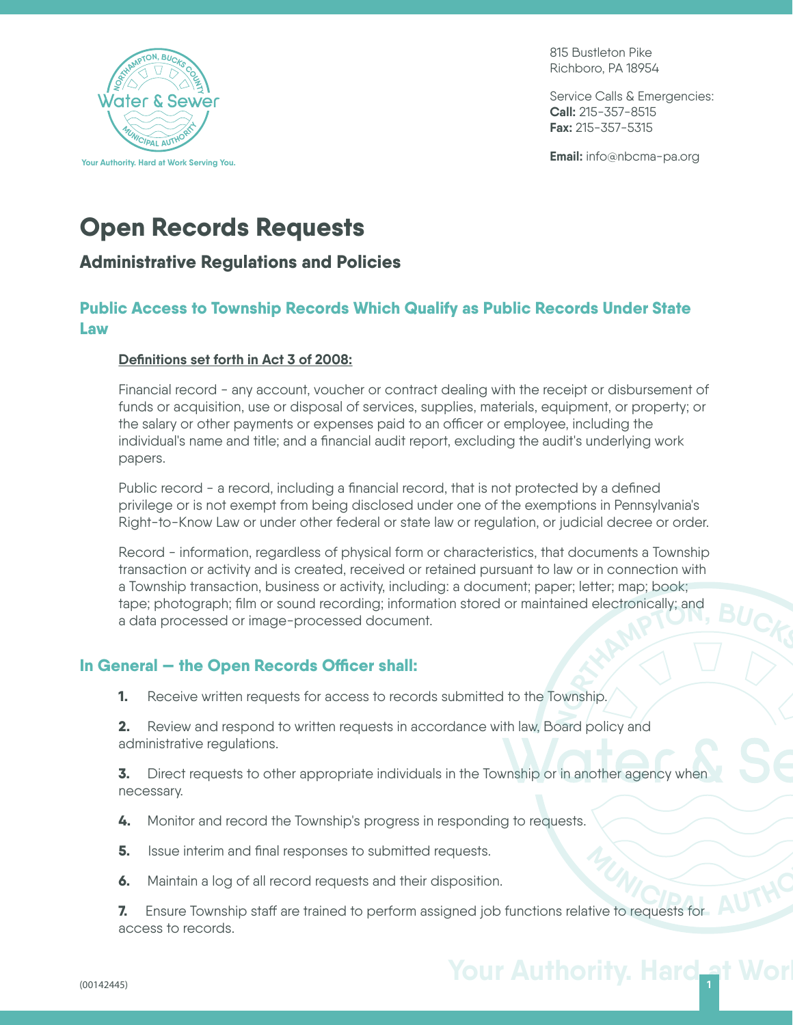

815 Bustleton Pike Richboro, PA 18954

Service Calls & Emergencies: **Call:** 215-357-8515 **Fax:** 215-357-5315

**Email:** info@nbcma-pa.org

# **Open Records Requests**

# **Administrative Regulations and Policies**

# **Public Access to Township Records Which Qualify as Public Records Under State Law**

#### **Definitions set forth in Act 3 of 2008:**

Financial record - any account, voucher or contract dealing with the receipt or disbursement of funds or acquisition, use or disposal of services, supplies, materials, equipment, or property; or the salary or other payments or expenses paid to an officer or employee, including the individual's name and title; and a financial audit report, excluding the audit's underlying work papers.

Public record - a record, including a financial record, that is not protected by a defined privilege or is not exempt from being disclosed under one of the exemptions in Pennsylvania's Right-to-Know Law or under other federal or state law or regulation, or judicial decree or order.

Record - information, regardless of physical form or characteristics, that documents a Township transaction or activity and is created, received or retained pursuant to law or in connection with a Township transaction, business or activity, including: a document; paper; letter; map; book; tape; photograph; film or sound recording; information stored or maintained electronically; and a data processed or image-processed document. **<sup>N</sup>ORTHAMPTON, <sup>B</sup>UCK<sup>S</sup> <sup>C</sup>OUNT<sup>Y</sup>**

# In General – the Open Records Officer shall:

**1.** Receive written requests for access to records submitted to the Township.

**2.** Review and respond to written requests in accordance with law, Board policy and administrative regulations.

**3.** Direct requests to other appropriate individuals in the Township or in another agency when necessary.

- **4.** Monitor and record the Township's progress in responding to requests.
- **5.** Issue interim and final responses to submitted requests.
- **6.** Maintain a log of all record requests and their disposition.

**7.** Ensure Township staff are trained to perform assigned job functions relative to requests for access to records. **C**<br>If the to requests for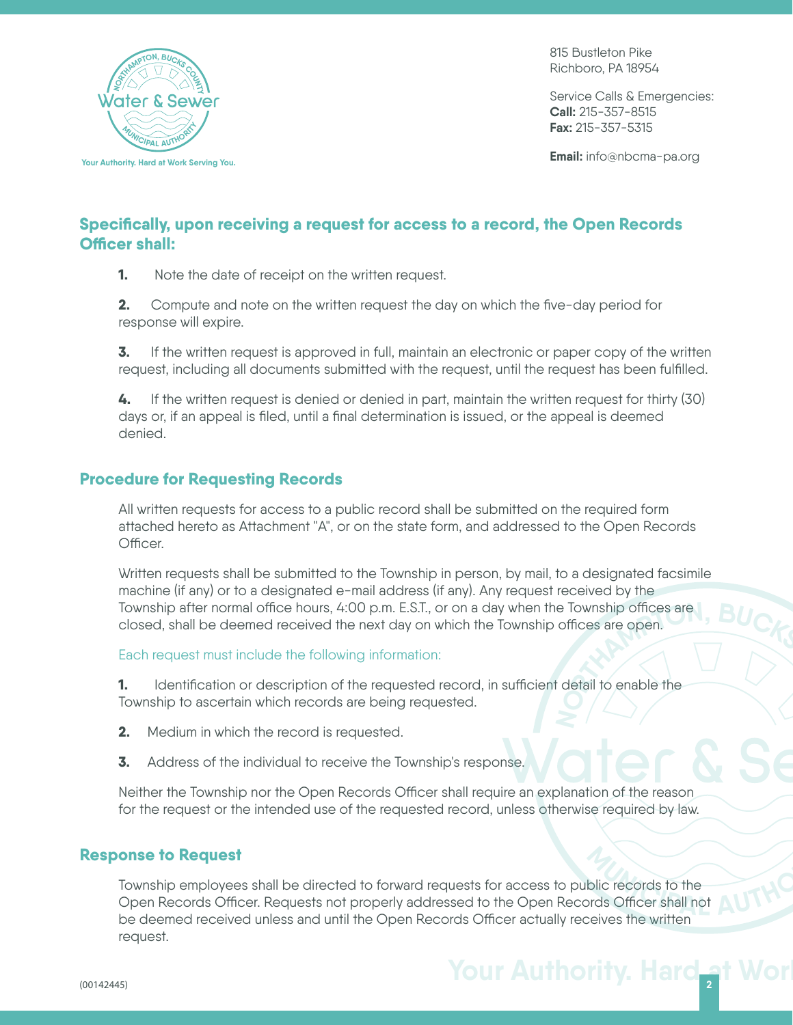

815 Bustleton Pike Richboro, PA 18954

Service Calls & Emergencies: **Call:** 215-357-8515 **Fax:** 215-357-5315

**Email:** info@nbcma-pa.org

## **Specifically, upon receiving a request for access to a record, the Open Records Officer shall:**

**1.** Note the date of receipt on the written request.

**2.** Compute and note on the written request the day on which the five-day period for response will expire.

**3.** If the written request is approved in full, maintain an electronic or paper copy of the written request, including all documents submitted with the request, until the request has been fulfilled.

**4.** If the written request is denied or denied in part, maintain the written request for thirty (30) days or, if an appeal is filed, until a final determination is issued, or the appeal is deemed denied.

## **Procedure for Requesting Records**

All written requests for access to a public record shall be submitted on the required form attached hereto as Attachment "A", or on the state form, and addressed to the Open Records Officer

Written requests shall be submitted to the Township in person, by mail, to a designated facsimile machine (if any) or to a designated e-mail address (if any). Any request received by the Township after normal office hours, 4:00 p.m. E.S.T., or on a day when the Township offices are closed, shall be deemed received the next day on which the Township offices are open. **<sup>N</sup>ORTHAMPTON, <sup>B</sup>UCK<sup>S</sup> <sup>C</sup>OUNT<sup>Y</sup>**

Each request must include the following information:

**1.** Identification or description of the requested record, in sufficient detail to enable the Township to ascertain which records are being requested.

- **2.** Medium in which the record is requested.
- **3.** Address of the individual to receive the Township's response.

Neither the Township nor the Open Records Officer shall require an explanation of the reason for the request or the intended use of the requested record, unless otherwise required by law.

#### **Response to Request**

Township employees shall be directed to forward requests for access to public records to the Onse to Request<br>Township employees shall be directed to forward requests for access to public records to the<br>Open Records Officer. Requests not properly addressed to the Open Records Officer shall not AUTH be deemed received unless and until the Open Records Officer actually receives the written request.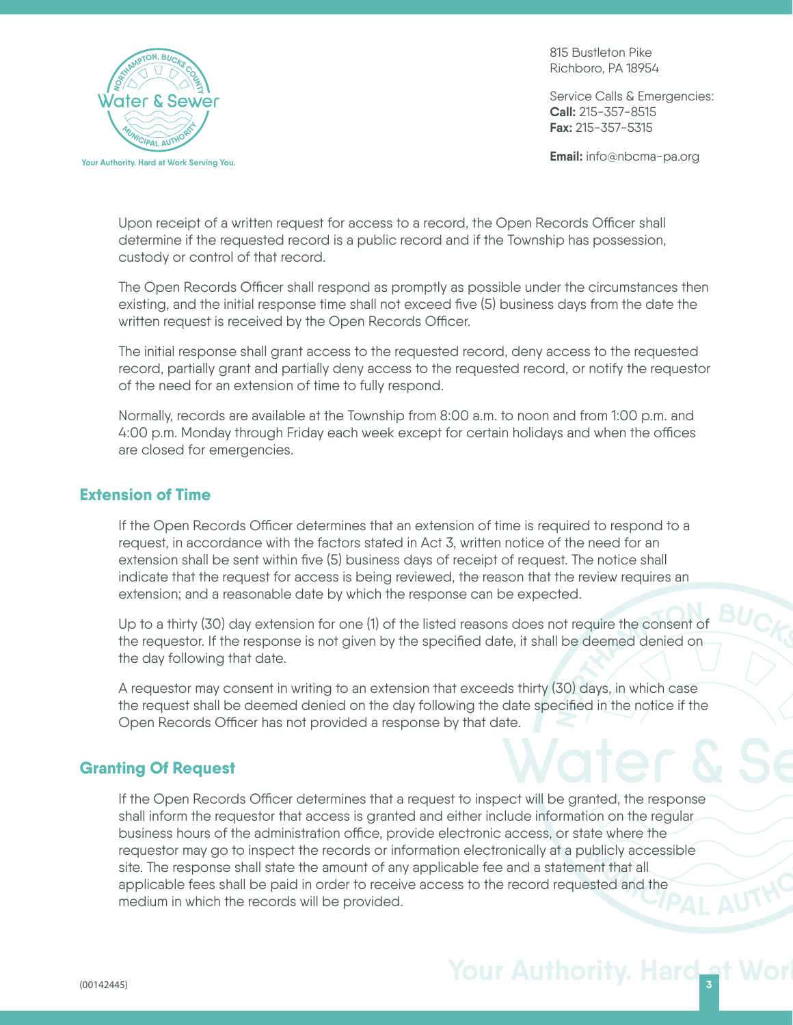

815 Bustleton Pike Richboro, PA 18954

Service Calls & Emergencies: **Call:** 215-357-8515 **Fax:** 215-357-5315

**Email:** info@nbcma-pa.org

Upon receipt of a written request for access to a record, the Open Records Officer shall determine if the requested record is a public record and if the Township has possession, custody or control of that record.

The Open Records Officer shall respond as promptly as possible under the circumstances then existing, and the initial response time shall not exceed five (5) business days from the date the written request is received by the Open Records Officer.

The initial response shall grant access to the requested record, deny access to the requested record, partially grant and partially deny access to the requested record, or notify the requestor of the need for an extension of time to fully respond.

Normally, records are available at the Township from 8:00 a.m. to noon and from 1:00 p.m. and 4:00 p.m. Monday through Friday each week except for certain holidays and when the offices are closed for emergencies.

#### **Extension of Time**

If the Open Records Officer determines that an extension of time is required to respond to a request, in accordance with the factors stated in Act 3, written notice of the need for an extension shall be sent within five (5) business days of receipt of request. The notice shall indicate that the request for access is being reviewed, the reason that the review requires an extension; and a reasonable date by which the response can be expected.

Up to a thirty (30) day extension for one (1) of the listed reasons does not require the consent of the requestor. If the response is not given by the specified date, it shall be deemed denied on the day following that date.

**<sup>N</sup>ORTHAMPTON, <sup>B</sup>UCK<sup>S</sup> <sup>C</sup>OUNT<sup>Y</sup>** A requestor may consent in writing to an extension that exceeds thirty (30) days, in which case the request shall be deemed denied on the day following the date specified in the notice if the Open Records Officer has not provided a response by that date.

## **Granting Of Request**

**D**<br> **Example 2013<br>
<b>D**<br> **Example 2014**<br> **Example 2014**<br> **EXAMPLE 2017** If the Open Records Officer determines that a request to inspect will be granted, the response shall inform the requestor that access is granted and either include information on the regular business hours of the administration office, provide electronic access, or state where the requestor may go to inspect the records or information electronically at a publicly accessible site. The response shall state the amount of any applicable fee and a statement that all applicable fees shall be paid in order to receive access to the record requested and the medium in which the records will be provided.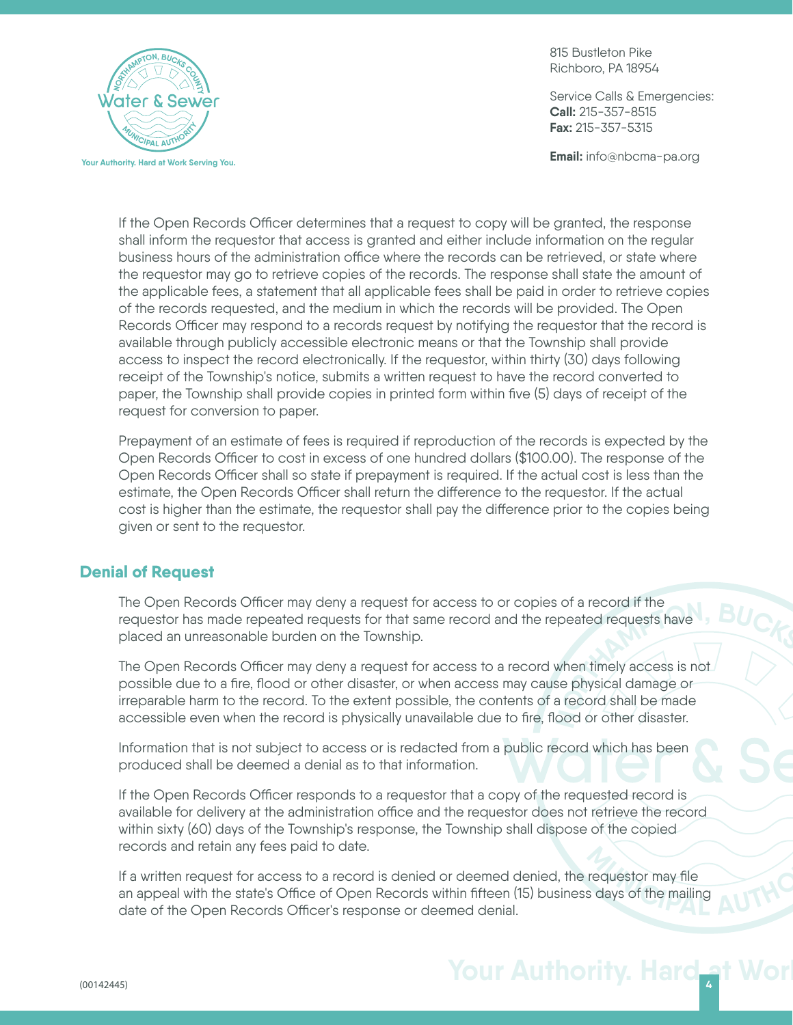

815 Bustleton Pike Richboro, PA 18954

Service Calls & Emergencies: **Call:** 215-357-8515 **Fax:** 215-357-5315

**Email:** info@nbcma-pa.org

If the Open Records Officer determines that a request to copy will be granted, the response shall inform the requestor that access is granted and either include information on the regular business hours of the administration office where the records can be retrieved, or state where the requestor may go to retrieve copies of the records. The response shall state the amount of the applicable fees, a statement that all applicable fees shall be paid in order to retrieve copies of the records requested, and the medium in which the records will be provided. The Open Records Officer may respond to a records request by notifying the requestor that the record is available through publicly accessible electronic means or that the Township shall provide access to inspect the record electronically. If the requestor, within thirty (30) days following receipt of the Township's notice, submits a written request to have the record converted to paper, the Township shall provide copies in printed form within five (5) days of receipt of the request for conversion to paper.

Prepayment of an estimate of fees is required if reproduction of the records is expected by the Open Records Officer to cost in excess of one hundred dollars (\$100.00). The response of the Open Records Officer shall so state if prepayment is required. If the actual cost is less than the estimate, the Open Records Officer shall return the difference to the requestor. If the actual cost is higher than the estimate, the requestor shall pay the difference prior to the copies being given or sent to the requestor.

## **Denial of Request**

The Open Records Officer may deny a request for access to or copies of a record if the requestor has made repeated requests for that same record and the repeated requests have placed an unreasonable burden on the Township.

**<sup>N</sup>ORTHAMPTON, <sup>B</sup>UCK<sup>S</sup> <sup>C</sup>OUNT<sup>Y</sup>** The Open Records Officer may deny a request for access to a record when timely access is not possible due to a fire, flood or other disaster, or when access may cause physical damage or irreparable harm to the record. To the extent possible, the contents of a record shall be made accessible even when the record is physically unavailable due to fire, flood or other disaster.

Information that is not subject to access or is redacted from a public record which has been produced shall be deemed a denial as to that information.

If the Open Records Officer responds to a requestor that a copy of the requested record is available for delivery at the administration office and the requestor does not retrieve the record within sixty (60) days of the Township's response, the Township shall dispose of the copied records and retain any fees paid to date.

**<sup>M</sup>UNICIPA<sup>L</sup> <sup>A</sup>UTHOR<sup>I</sup>T<sup>Y</sup>** If a written request for access to a record is denied or deemed denied, the requestor may file an appeal with the state's Office of Open Records within fifteen (15) business days of the mailing date of the Open Records Officer's response or deemed denial.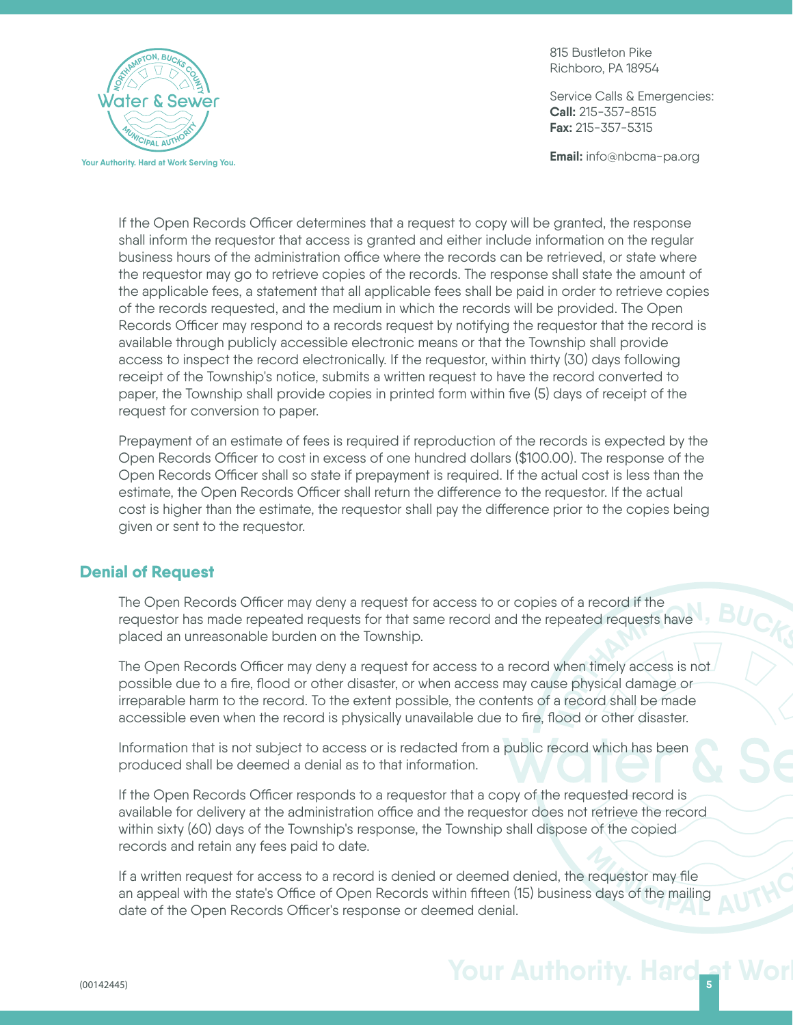

815 Bustleton Pike Richboro, PA 18954

Service Calls & Emergencies: **Call:** 215-357-8515 **Fax:** 215-357-5315

**Email:** info@nbcma-pa.org

If the Open Records Officer determines that a request to copy will be granted, the response shall inform the requestor that access is granted and either include information on the regular business hours of the administration office where the records can be retrieved, or state where the requestor may go to retrieve copies of the records. The response shall state the amount of the applicable fees, a statement that all applicable fees shall be paid in order to retrieve copies of the records requested, and the medium in which the records will be provided. The Open Records Officer may respond to a records request by notifying the requestor that the record is available through publicly accessible electronic means or that the Township shall provide access to inspect the record electronically. If the requestor, within thirty (30) days following receipt of the Township's notice, submits a written request to have the record converted to paper, the Township shall provide copies in printed form within five (5) days of receipt of the request for conversion to paper.

Prepayment of an estimate of fees is required if reproduction of the records is expected by the Open Records Officer to cost in excess of one hundred dollars (\$100.00). The response of the Open Records Officer shall so state if prepayment is required. If the actual cost is less than the estimate, the Open Records Officer shall return the difference to the requestor. If the actual cost is higher than the estimate, the requestor shall pay the difference prior to the copies being given or sent to the requestor.

## **Denial of Request**

The Open Records Officer may deny a request for access to or copies of a record if the requestor has made repeated requests for that same record and the repeated requests have placed an unreasonable burden on the Township.

**<sup>N</sup>ORTHAMPTON, <sup>B</sup>UCK<sup>S</sup> <sup>C</sup>OUNT<sup>Y</sup>** The Open Records Officer may deny a request for access to a record when timely access is not possible due to a fire, flood or other disaster, or when access may cause physical damage or irreparable harm to the record. To the extent possible, the contents of a record shall be made accessible even when the record is physically unavailable due to fire, flood or other disaster.

Information that is not subject to access or is redacted from a public record which has been produced shall be deemed a denial as to that information.

If the Open Records Officer responds to a requestor that a copy of the requested record is available for delivery at the administration office and the requestor does not retrieve the record within sixty (60) days of the Township's response, the Township shall dispose of the copied records and retain any fees paid to date.

**<sup>M</sup>UNICIPA<sup>L</sup> <sup>A</sup>UTHOR<sup>I</sup>T<sup>Y</sup>** If a written request for access to a record is denied or deemed denied, the requestor may file an appeal with the state's Office of Open Records within fifteen (15) business days of the mailing date of the Open Records Officer's response or deemed denial.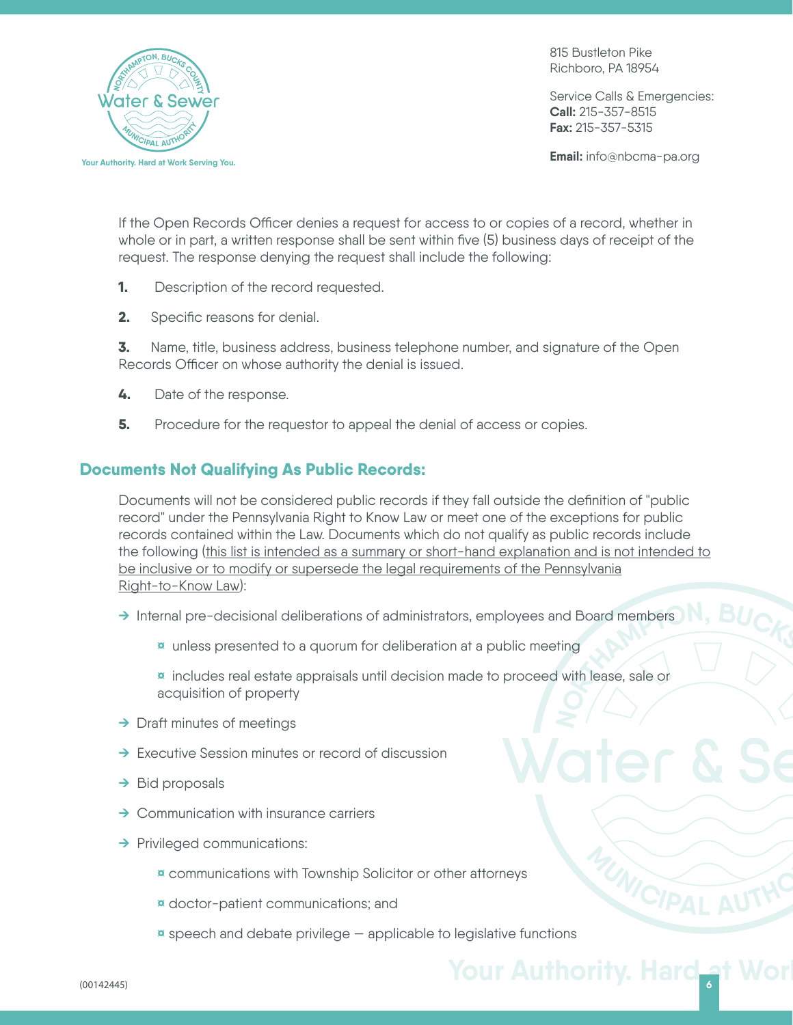

815 Bustleton Pike Richboro, PA 18954

Service Calls & Emergencies: **Call:** 215-357-8515 **Fax:** 215-357-5315

**Email:** info@nbcma-pa.org

If the Open Records Officer denies a request for access to or copies of a record, whether in whole or in part, a written response shall be sent within five (5) business days of receipt of the request. The response denying the request shall include the following:

- **1.** Description of the record requested.
- **2.** Specific reasons for denial.

**3.** Name, title, business address, business telephone number, and signature of the Open Records Officer on whose authority the denial is issued.

- **4.** Date of the response.
- **5.** Procedure for the requestor to appeal the denial of access or copies.

## **Documents Not Qualifying As Public Records:**

Documents will not be considered public records if they fall outside the definition of "public record" under the Pennsylvania Right to Know Law or meet one of the exceptions for public records contained within the Law. Documents which do not qualify as public records include the following (this list is intended as a summary or short-hand explanation and is not intended to be inclusive or to modify or supersede the legal requirements of the Pennsylvania Right-to-Know Law):

- → Internal pre-decisional deliberations of administrators, employees and Board members
	- **¤** unless presented to a quorum for deliberation at a public meeting
- **<sup>N</sup>ORTHAMPTON, <sup>B</sup>UCK<sup>S</sup> <sup>C</sup>OUNT<sup>Y</sup> ¤** includes real estate appraisals until decision made to proceed with lease, sale or acquisition of property
- **→** Draft minutes of meetings
- **→** Executive Session minutes or record of discussion
- **→** Bid proposals
- **→** Communication with insurance carriers
- **→** Privileged communications:
	- **¤** communications with Township Solicitor or other attorneys
	- **¤** doctor-patient communications; and
	- **¤** speech and debate privilege applicable to legislative functions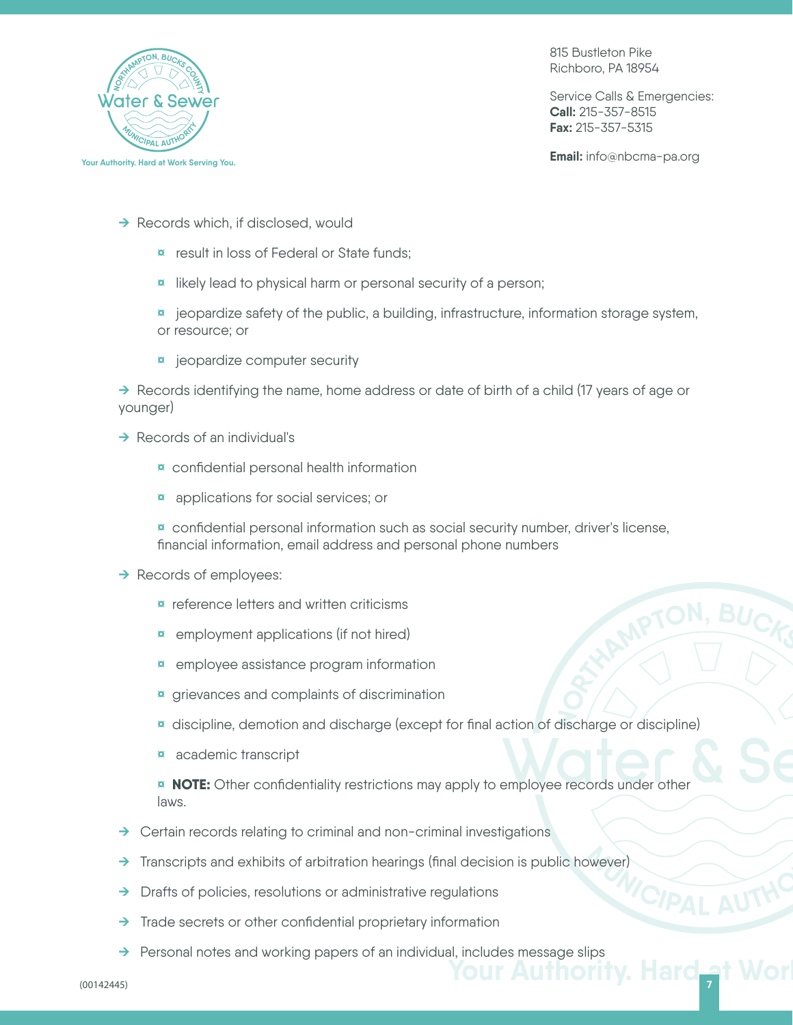

815 Bustleton Pike Richboro, PA 18954

Service Calls & Emergencies: **Call:** 215-357-8515 **Fax:** 215-357-5315

**Email:** info@nbcma-pa.org

- **→** Records which, if disclosed, would
	- **¤** result in loss of Federal or State funds;
	- **¤** likely lead to physical harm or personal security of a person;
	- **¤** jeopardize safety of the public, a building, infrastructure, information storage system, or resource; or
	- **¤** jeopardize computer security

**→** Records identifying the name, home address or date of birth of a child (17 years of age or younger)

- **→** Records of an individual's
	- **¤** confidential personal health information
	- **¤** applications for social services; or
	- **¤** confidential personal information such as social security number, driver's license, financial information, email address and personal phone numbers

#### **→** Records of employees:

- **¤** reference letters and written criticisms
- **¤** employment applications (if not hired)
- **¤** employee assistance program information
- **¤** grievances and complaints of discrimination
- **<sup>N</sup>ORTHAMPTON, <sup>B</sup>UCK<sup>S</sup> <sup>C</sup>OUNT<sup>Y</sup> ¤** discipline, demotion and discharge (except for final action of discharge or discipline)
- **¤** academic transcript

**¤ NOTE:** Other confidentiality restrictions may apply to employee records under other laws.

- **→** Certain records relating to criminal and non-criminal investigations
- **CIPAL AUTHC →** Transcripts and exhibits of arbitration hearings (final decision is public however)
- **→** Drafts of policies, resolutions or administrative regulations
- **→** Trade secrets or other confidential proprietary information
- **→** Personal notes and working papers of an individual, includes message slips